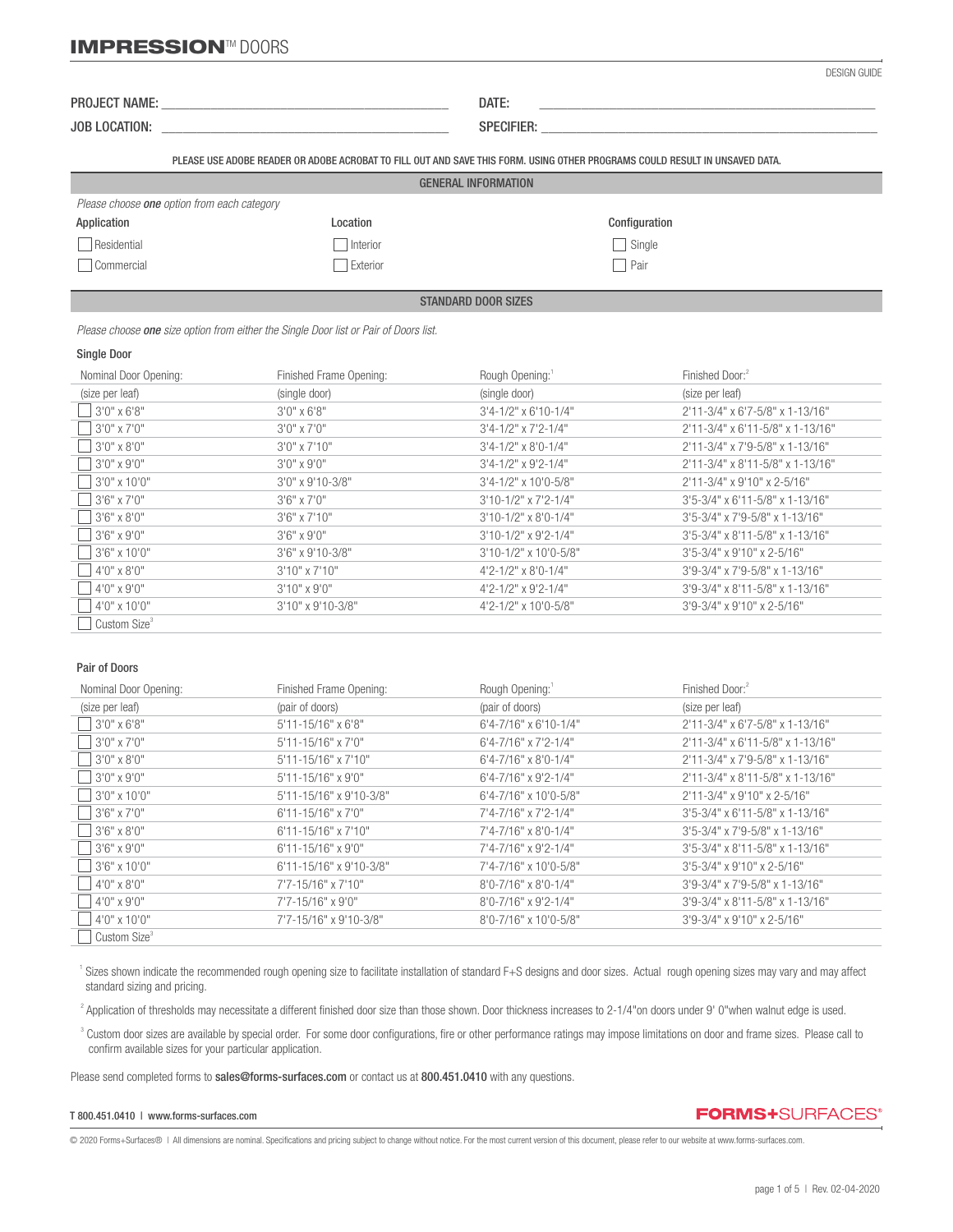# **IMPRESSION™ DOORS**

| . <b>. .</b><br>PROJE <sub>L</sub><br>`Name. | - - -<br>DAL. |  |
|----------------------------------------------|---------------|--|
|                                              |               |  |

JOB LOCATION: \_\_\_\_\_\_\_\_\_\_\_\_\_\_\_\_\_\_\_\_\_\_\_\_\_\_\_\_\_\_\_\_\_\_\_\_\_\_\_\_\_ SPECIFIER: \_\_\_\_\_\_\_\_\_\_\_\_\_\_\_\_\_\_\_\_\_\_\_\_\_\_\_\_\_\_\_\_\_\_\_\_\_\_\_\_\_\_\_\_\_\_\_\_

PLEASE USE ADOBE READER OR ADOBE ACROBAT TO FILL OUT AND SAVE THIS FORM. USING OTHER PROGRAMS COULD RESULT IN UNSAVED DATA.

| Please choose <b>one</b> option from each category |          |               |  |  |  |  |
|----------------------------------------------------|----------|---------------|--|--|--|--|
| Application                                        | Location | Configuration |  |  |  |  |
| Residential                                        | Interior | Single        |  |  |  |  |
| Commercial                                         | Exterior | Pair          |  |  |  |  |

STANDARD DOOR SIZES

 *Please choose one size option from either the Single Door list or Pair of Doors list.*

#### Single Door

֦

| Nominal Door Opening:    | Finished Frame Opening: | Rough Opening:                   | Finished Door: <sup>2</sup>          |
|--------------------------|-------------------------|----------------------------------|--------------------------------------|
| (size per leaf)          | (single door)           | (single door)                    | (size per leaf)                      |
| $3'0''$ x 6'8"           | $3'0''$ x 6'8"          | $3'4 - 1/2''$ x 6'10-1/4"        | 2'11-3/4" x 6'7-5/8" x 1-13/16"      |
| $3'0''$ x 7'0"           | $3'0''$ x $7'0''$       | $3'4 - 1/2''$ x $7'2 - 1/4''$    | 2'11-3/4" x 6'11-5/8" x 1-13/16"     |
| $3'0''$ x 8'0"           | $3'0''$ x 7'10"         | $3'4 - 1/2''$ x 8'0-1/4"         | 2'11-3/4" x 7'9-5/8" x 1-13/16"      |
| $3'0''$ x 9'0"           | $3'0''$ x 9'0"          | $3'4 - 1/2''$ x 9'2-1/4"         | 2'11-3/4" x 8'11-5/8" x 1-13/16"     |
| $3'0''$ x 10'0"          | 3'0" x 9'10-3/8"        | $3'4 - 1/2''$ x 10'0-5/8"        | 2'11-3/4" x 9'10" x 2-5/16"          |
| $3'6'' \times 7'0''$     | $3'6'' \times 7'0''$    | $3'10-1/2"$ x 7'2-1/4"           | $3'5 - 3/4''$ x 6'11-5/8" x 1-13/16" |
| $3'6'' \times 8'0''$     | $3'6''$ x $7'10''$      | $3'10-1/2" \times 8'0-1/4"$      | 3'5-3/4" x 7'9-5/8" x 1-13/16"       |
| $3'6'' \times 9'0''$     | $3'6'' \times 9'0''$    | 3'10-1/2" x 9'2-1/4"             | 3'5-3/4" x 8'11-5/8" x 1-13/16"      |
| $13'6''$ x 10'0"         | 3'6" x 9'10-3/8"        | $3'10-1/2"$ x 10'0-5/8"          | $3'5 - 3/4''$ x 9'10" x 2-5/16"      |
| $4'0'' \times 8'0''$     | $3'10''$ x $7'10''$     | $4'2 - 1/2'' \times 8'0 - 1/4''$ | 3'9-3/4" x 7'9-5/8" x 1-13/16"       |
| $4'0''$ x 9'0"           | $3'10''$ x 9'0"         | 4'2-1/2" x 9'2-1/4"              | 3'9-3/4" x 8'11-5/8" x 1-13/16"      |
| 4'0" x 10'0"             | 3'10" x 9'10-3/8"       | 4'2-1/2" x 10'0-5/8"             | 3'9-3/4" x 9'10" x 2-5/16"           |
| Custom Size <sup>3</sup> |                         |                                  |                                      |

### Pair of Doors

| Nominal Door Opening:    | Finished Frame Opening:     | Rough Opening:                 | Finished Door: <sup>2</sup>         |
|--------------------------|-----------------------------|--------------------------------|-------------------------------------|
| (size per leaf)          | (pair of doors)             | (pair of doors)                | (size per leaf)                     |
| $3'0''$ x 6'8"           | $5'11 - 15/16''$ x 6'8"     | 6'4-7/16" x 6'10-1/4"          | 2'11-3/4" x 6'7-5/8" x 1-13/16"     |
| $3'0''$ x 7'0"           | $5'11 - 15/16''$ x $7'0''$  | $6'4 - 7/16''$ x $7'2 - 1/4''$ | $2'11-3/4"$ x 6'11-5/8" x 1-13/16"  |
| $3'0''$ x 8'0"           | $5'11 - 15/16''$ x $7'10''$ | $6'4 - 7/16''$ x 8'0-1/4"      | 2'11-3/4" x 7'9-5/8" x 1-13/16"     |
| $13'0''$ x 9'0"          | $5'11 - 15/16''$ x 9'0"     | $6'4 - 7/16''$ x 9'2-1/4"      | 2'11-3/4" x 8'11-5/8" x 1-13/16"    |
| $3'0''$ x 10'0"          | 5'11-15/16" x 9'10-3/8"     | $6'4 - 7/16''$ x 10'0-5/8"     | 2'11-3/4" x 9'10" x 2-5/16"         |
| $3'6'' \times 7'0''$     | $6'11 - 15/16''$ x 7'0"     | 7'4-7/16" x 7'2-1/4"           | $3'5-3/4''$ x 6'11-5/8" x 1-13/16"  |
| $3'6'' \times 8'0''$     | $6'11 - 15/16''$ x 7'10"    | 7'4-7/16" x 8'0-1/4"           | $3'5 - 3/4''$ x 7'9-5/8" x 1-13/16" |
| $3'6''$ x 9'0"           | $6'11 - 15/16''$ x 9'0"     | 7'4-7/16" x 9'2-1/4"           | 3'5-3/4" x 8'11-5/8" x 1-13/16"     |
| $3'6''$ x 10'0"          | 6'11-15/16" x 9'10-3/8"     | 7'4-7/16" x 10'0-5/8"          | 3'5-3/4" x 9'10" x 2-5/16"          |
| $4'0'' \times 8'0''$     | 7'7-15/16" x 7'10"          | 8'0-7/16" x 8'0-1/4"           | 3'9-3/4" x 7'9-5/8" x 1-13/16"      |
| 4'0" x 9'0"              | 7'7-15/16" x 9'0"           | $8'0 - 7/16''$ x 9'2-1/4"      | 3'9-3/4" x 8'11-5/8" x 1-13/16"     |
| $4'0''$ x 10'0"          | 7'7-15/16" x 9'10-3/8"      | 8'0-7/16" x 10'0-5/8"          | 3'9-3/4" x 9'10" x 2-5/16"          |
| Custom Size <sup>3</sup> |                             |                                |                                     |

<sup>1</sup> Sizes shown indicate the recommended rough opening size to facilitate installation of standard F+S designs and door sizes. Actual rough opening sizes may vary and may affect standard sizing and pricing.

 $^2$  Application of thresholds may necessitate a different finished door size than those shown. Door thickness increases to 2-1/4"on doors under 9' 0"when walnut edge is used.

<sup>3</sup> Custom door sizes are available by special order. For some door configurations, fire or other performance ratings may impose limitations on door and frame sizes. Please call to confirm available sizes for your particular application.

Please send completed forms to sales@forms-surfaces.com or contact us at 800.451.0410 with any questions.

#### T 800.451.0410 | www.forms-surfaces.com

**FORMS+**SURFACES®

© 2020 Forms+Surfaces® | All dimensions are nominal. Specifications and pricing subject to change without notice. For the most current version of this document, please refer to our website at www.forms-surfaces.com.

DESIGN GUIDE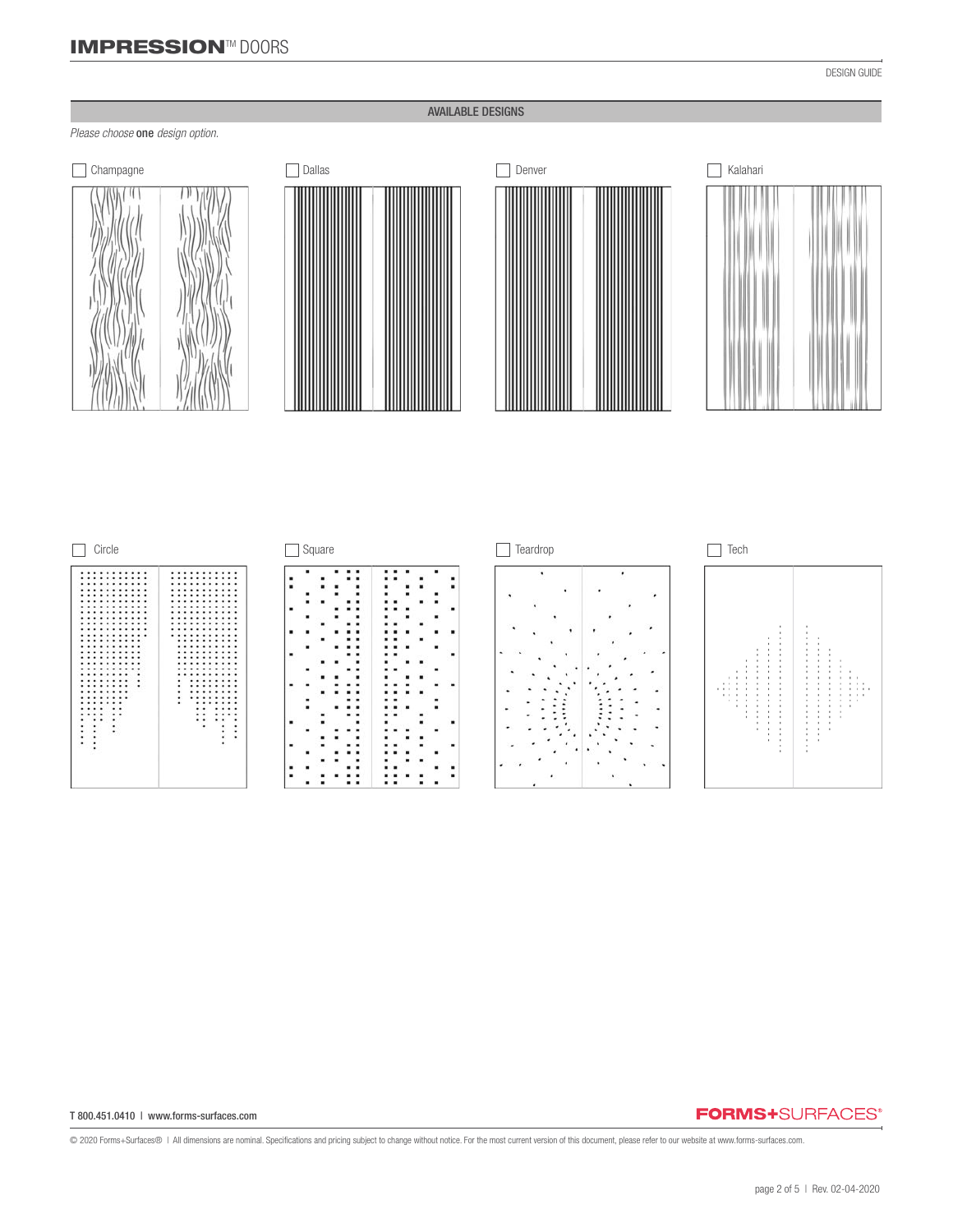# IMPRESSION™ DOORS

### AVAILABLE DESIGNS

## *Please choose* one *design option.*



| <b>Dallas</b> |  |
|---------------|--|
|               |  |







### T 800.451.0410 | www.forms-surfaces.com

## **FORMS+**SURFACES®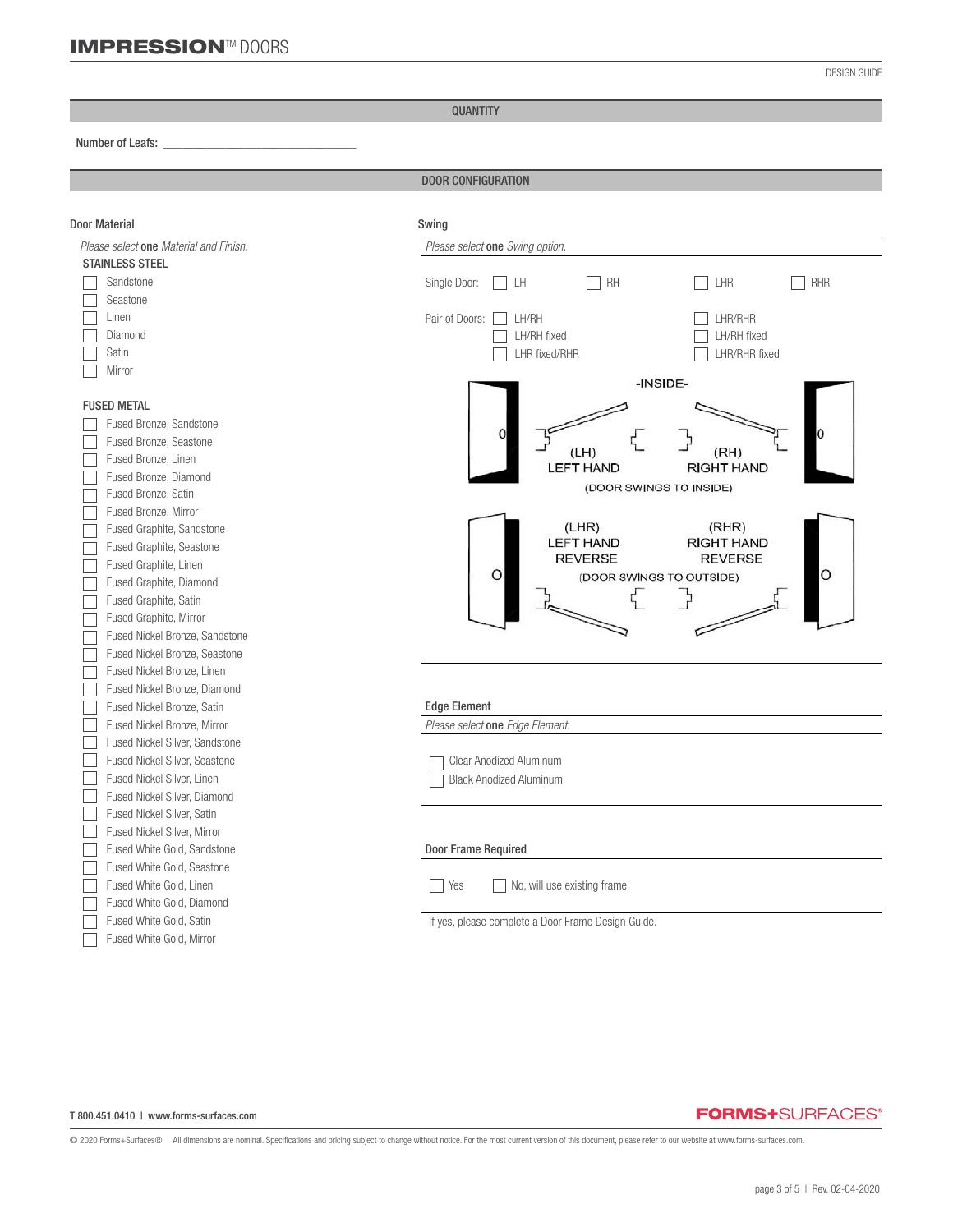QUANTITY

#### Number of Leafs: *\_\_\_\_\_\_\_\_\_\_\_\_\_\_\_\_\_\_\_\_\_\_\_\_\_\_\_\_\_\_\_*

֦

DOOR CONFIGURATION

| <b>Door Material</b>                   | Swing                                                                     |  |  |  |  |
|----------------------------------------|---------------------------------------------------------------------------|--|--|--|--|
| Please select one Material and Finish. | Please select one Swing option.                                           |  |  |  |  |
| <b>STAINLESS STEEL</b>                 |                                                                           |  |  |  |  |
| Sandstone                              | Single Door:<br>LH<br><b>RH</b><br>LHR<br>RHR                             |  |  |  |  |
| Seastone                               |                                                                           |  |  |  |  |
| Linen                                  | Pair of Doors:<br>LH/RH<br>LHR/RHR                                        |  |  |  |  |
| Diamond                                | LH/RH fixed<br>LH/RH fixed                                                |  |  |  |  |
| Satin                                  | LHR fixed/RHR<br>LHR/RHR fixed                                            |  |  |  |  |
| Mirror                                 |                                                                           |  |  |  |  |
|                                        | -INSIDE-                                                                  |  |  |  |  |
| <b>FUSED METAL</b>                     |                                                                           |  |  |  |  |
| Fused Bronze, Sandstone                |                                                                           |  |  |  |  |
| Fused Bronze, Seastone                 |                                                                           |  |  |  |  |
| Fused Bronze, Linen                    | (LH)<br>(RH)<br><b>LEFT HAND</b><br><b>RIGHT HAND</b>                     |  |  |  |  |
| Fused Bronze, Diamond                  | (DOOR SWINGS TO INSIDE)                                                   |  |  |  |  |
| Fused Bronze, Satin                    |                                                                           |  |  |  |  |
| Fused Bronze, Mirror                   |                                                                           |  |  |  |  |
| Fused Graphite, Sandstone              | (LHR)<br>(RHR)                                                            |  |  |  |  |
| Fused Graphite, Seastone               | <b>LEFT HAND</b><br><b>RIGHT HAND</b><br><b>REVERSE</b><br><b>REVERSE</b> |  |  |  |  |
| Fused Graphite, Linen                  | O<br>O                                                                    |  |  |  |  |
| Fused Graphite, Diamond                | (DOOR SWINGS TO OUTSIDE)                                                  |  |  |  |  |
| Fused Graphite, Satin                  |                                                                           |  |  |  |  |
| Fused Graphite, Mirror                 |                                                                           |  |  |  |  |
| Fused Nickel Bronze, Sandstone         |                                                                           |  |  |  |  |
| Fused Nickel Bronze, Seastone          |                                                                           |  |  |  |  |
| Fused Nickel Bronze, Linen             |                                                                           |  |  |  |  |
| Fused Nickel Bronze, Diamond           |                                                                           |  |  |  |  |
| Fused Nickel Bronze, Satin             | <b>Edge Element</b>                                                       |  |  |  |  |
| Fused Nickel Bronze, Mirror            | Please select one Edge Element.                                           |  |  |  |  |
| Fused Nickel Silver, Sandstone         |                                                                           |  |  |  |  |
| Fused Nickel Silver, Seastone          | <b>Clear Anodized Aluminum</b>                                            |  |  |  |  |
| Fused Nickel Silver, Linen             | <b>Black Anodized Aluminum</b>                                            |  |  |  |  |
| Fused Nickel Silver, Diamond           |                                                                           |  |  |  |  |
| Fused Nickel Silver, Satin             |                                                                           |  |  |  |  |
| Fused Nickel Silver, Mirror            |                                                                           |  |  |  |  |
| Fused White Gold, Sandstone            | <b>Door Frame Required</b>                                                |  |  |  |  |
| Fused White Gold, Seastone             |                                                                           |  |  |  |  |
| Fused White Gold, Linen                | Yes<br>No, will use existing frame                                        |  |  |  |  |
| Fused White Gold, Diamond              |                                                                           |  |  |  |  |
| Fused White Gold, Satin                | If yes, please complete a Door Frame Design Guide.                        |  |  |  |  |
| Fused White Gold, Mirror               |                                                                           |  |  |  |  |

#### T 800.451.0410 | www.forms-surfaces.com

# **FORMS+**SURFACES®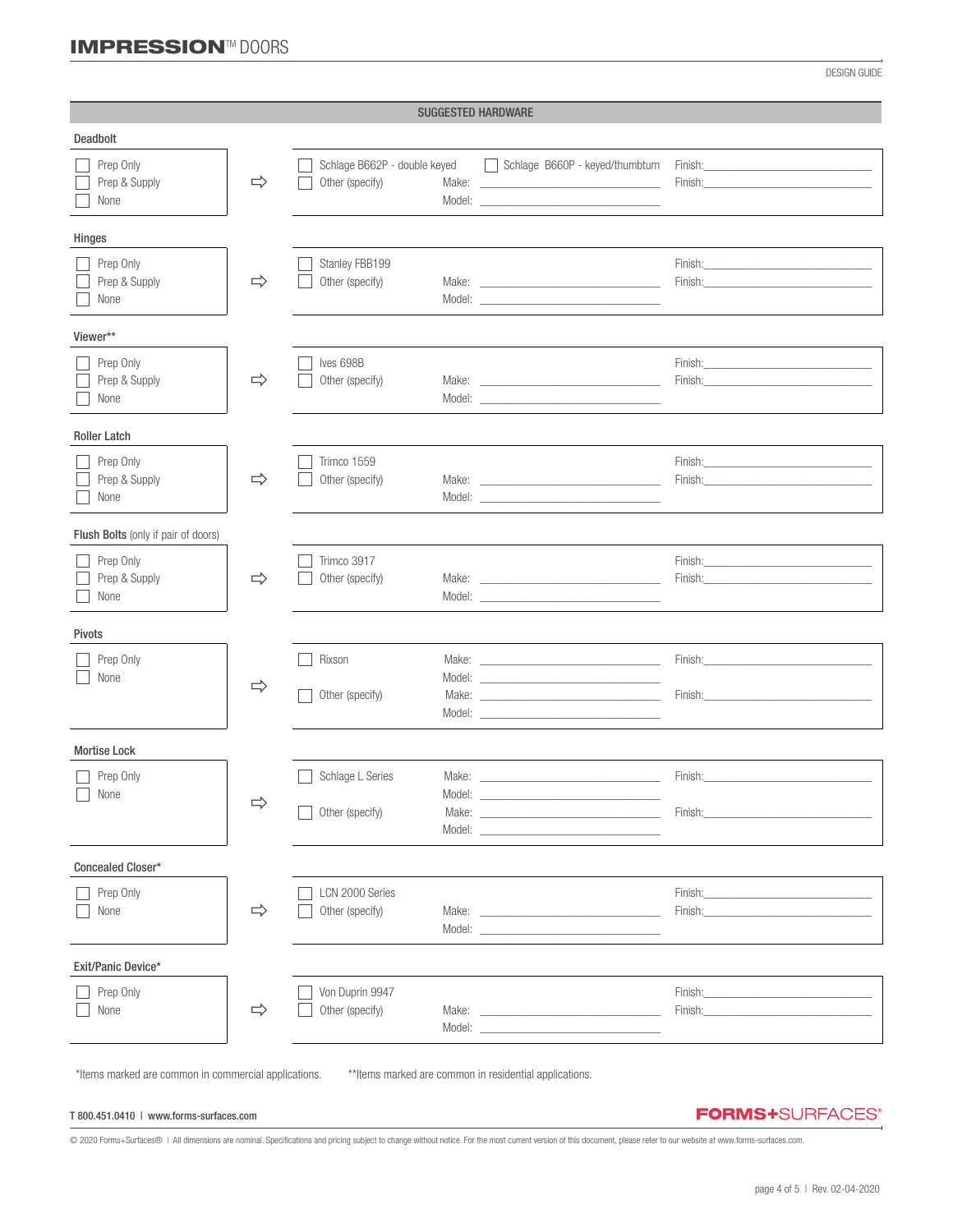DESIGN GUIDE

| <b>SUGGESTED HARDWARE</b>           |               |                                                 |        |                                                                                                                                                                                                                                                                                                                                                                                                                                                                                                                                                                                                                                                                                                         |                                                                                                                                                                                                                                                                                                                                                                                                                                                                  |
|-------------------------------------|---------------|-------------------------------------------------|--------|---------------------------------------------------------------------------------------------------------------------------------------------------------------------------------------------------------------------------------------------------------------------------------------------------------------------------------------------------------------------------------------------------------------------------------------------------------------------------------------------------------------------------------------------------------------------------------------------------------------------------------------------------------------------------------------------------------|------------------------------------------------------------------------------------------------------------------------------------------------------------------------------------------------------------------------------------------------------------------------------------------------------------------------------------------------------------------------------------------------------------------------------------------------------------------|
| Deadbolt                            |               |                                                 |        |                                                                                                                                                                                                                                                                                                                                                                                                                                                                                                                                                                                                                                                                                                         |                                                                                                                                                                                                                                                                                                                                                                                                                                                                  |
| Prep Only<br>Prep & Supply<br>None  | $\Rightarrow$ | Schlage B662P - double keyed<br>Other (specify) |        | Schlage B660P - keyed/thumbturn<br>Make: National Commission of the Commission of the Commission of the Commission of the Commission of the Commission                                                                                                                                                                                                                                                                                                                                                                                                                                                                                                                                                  | <b>Finish: Example 2008</b><br>Finish: Enterprise of the state of the state of the state of the state of the state of the state of the state of the state of the state of the state of the state of the state of the state of the state of the state of the s                                                                                                                                                                                                    |
| Hinges                              |               |                                                 |        |                                                                                                                                                                                                                                                                                                                                                                                                                                                                                                                                                                                                                                                                                                         |                                                                                                                                                                                                                                                                                                                                                                                                                                                                  |
| Prep Only<br>Prep & Supply<br>None  | $\Rightarrow$ | Stanley FBB199<br>Other (specify)               |        | Model: <u>with the community of the community of the community of the community of the community of the community of the community of the community of the community of the community of the community of the community of the c</u>                                                                                                                                                                                                                                                                                                                                                                                                                                                                    | Finish: <u>______________________________</u><br>Finish: Enish and the contract of the contract of the contract of the contract of the contract of the contract of the contract of the contract of the contract of the contract of the contract of the contract of the contract                                                                                                                                                                                  |
| Viewer**                            |               |                                                 |        |                                                                                                                                                                                                                                                                                                                                                                                                                                                                                                                                                                                                                                                                                                         |                                                                                                                                                                                                                                                                                                                                                                                                                                                                  |
| Prep Only<br>Prep & Supply<br>None  | $\Rightarrow$ | Ives 698B<br>Other (specify)                    |        | Model: <u>with the contract of the contract of the contract of the contract of the contract of the contract of the contract of the contract of the contract of the contract of the contract of the contract of the contract of t</u>                                                                                                                                                                                                                                                                                                                                                                                                                                                                    | Finish: The contract of the contract of the contract of the contract of the contract of the contract of the contract of the contract of the contract of the contract of the contract of the contract of the contract of the co<br>Finish: The Company of the Company of the Company of the Company of the Company of the Company of the Company of the Company of the Company of the Company of the Company of the Company of the Company of the Company of the  |
| <b>Roller Latch</b>                 |               |                                                 |        |                                                                                                                                                                                                                                                                                                                                                                                                                                                                                                                                                                                                                                                                                                         |                                                                                                                                                                                                                                                                                                                                                                                                                                                                  |
| Prep Only<br>Prep & Supply<br>None  | $\Rightarrow$ | Trimco 1559<br>Other (specify)                  |        | Make: The contract of the contract of the contract of the contract of the contract of the contract of the contract of the contract of the contract of the contract of the contract of the contract of the contract of the cont                                                                                                                                                                                                                                                                                                                                                                                                                                                                          | <b>Finish: Example 2008</b>                                                                                                                                                                                                                                                                                                                                                                                                                                      |
| Flush Bolts (only if pair of doors) |               |                                                 |        |                                                                                                                                                                                                                                                                                                                                                                                                                                                                                                                                                                                                                                                                                                         |                                                                                                                                                                                                                                                                                                                                                                                                                                                                  |
| Prep Only<br>Prep & Supply<br>None  | $\Rightarrow$ | Trimco 3917<br>Other (specify)                  |        | Model: New York and the state of the state of the state of the state of the state of the state of the state of the state of the state of the state of the state of the state of the state of the state of the state of the sta                                                                                                                                                                                                                                                                                                                                                                                                                                                                          | Finish: The Company of the Company of the Company of the Company of the Company of the Company of the Company of the Company of the Company of the Company of the Company of the Company of the Company of the Company of the                                                                                                                                                                                                                                    |
| Pivots                              |               |                                                 |        |                                                                                                                                                                                                                                                                                                                                                                                                                                                                                                                                                                                                                                                                                                         |                                                                                                                                                                                                                                                                                                                                                                                                                                                                  |
| Prep Only<br>None                   | $\Rightarrow$ | Rixson<br>Other (specify)                       |        |                                                                                                                                                                                                                                                                                                                                                                                                                                                                                                                                                                                                                                                                                                         | Finish: Enterprise of the state of the state of the state of the state of the state of the state of the state of the state of the state of the state of the state of the state of the state of the state of the state of the s<br>Finish: Enish and the state of the state of the state of the state of the state of the state of the state of the state of the state of the state of the state of the state of the state of the state of the state of the state |
| <b>Mortise Lock</b>                 |               |                                                 |        |                                                                                                                                                                                                                                                                                                                                                                                                                                                                                                                                                                                                                                                                                                         |                                                                                                                                                                                                                                                                                                                                                                                                                                                                  |
| Prep Only<br>$\Box$ None            | ⇨             | Schlage L Series<br>Other (specify)             | Model: | Make: The contract of the contract of the contract of the contract of the contract of the contract of the contract of the contract of the contract of the contract of the contract of the contract of the contract of the cont<br>Make: <u>example</u> and a series of the series of the series of the series of the series of the series of the series of the series of the series of the series of the series of the series of the series of the series of the seri<br>Model: New York Products and the Contract of the Contract of the Contract of the Contract of the Contract of the Contract of the Contract of the Contract of the Contract of the Contract of the Contract of the Contract of t | Finish:<br>Finish:                                                                                                                                                                                                                                                                                                                                                                                                                                               |
| Concealed Closer*                   |               |                                                 |        |                                                                                                                                                                                                                                                                                                                                                                                                                                                                                                                                                                                                                                                                                                         |                                                                                                                                                                                                                                                                                                                                                                                                                                                                  |
| Prep Only<br>None                   | $\Rightarrow$ | LCN 2000 Series<br>Other (specify)              |        | Model: New York and the state of the state of the state of the state of the state of the state of the state of the state of the state of the state of the state of the state of the state of the state of the state of the sta                                                                                                                                                                                                                                                                                                                                                                                                                                                                          | Finish: Entertainment of the state of the state of the state of the state of the state of the state of the state of the state of the state of the state of the state of the state of the state of the state of the state of th                                                                                                                                                                                                                                   |
| Exit/Panic Device*                  |               |                                                 |        |                                                                                                                                                                                                                                                                                                                                                                                                                                                                                                                                                                                                                                                                                                         |                                                                                                                                                                                                                                                                                                                                                                                                                                                                  |
| Prep Only<br>None                   | $\Rightarrow$ | Von Duprin 9947<br>Other (specify)              |        | Make: The contract of the contract of the contract of the contract of the contract of the contract of the contract of the contract of the contract of the contract of the contract of the contract of the contract of the cont<br>Model: New York and the state of the state of the state of the state of the state of the state of the state of the state of the state of the state of the state of the state of the state of the state of the state of the sta                                                                                                                                                                                                                                        | Finish:<br>Finish:                                                                                                                                                                                                                                                                                                                                                                                                                                               |

\*Items marked are common in commercial applications. \*\*Items marked are common in residential applications.

T 800.451.0410 | www.forms-surfaces.com

**FORMS+**SURFACES®